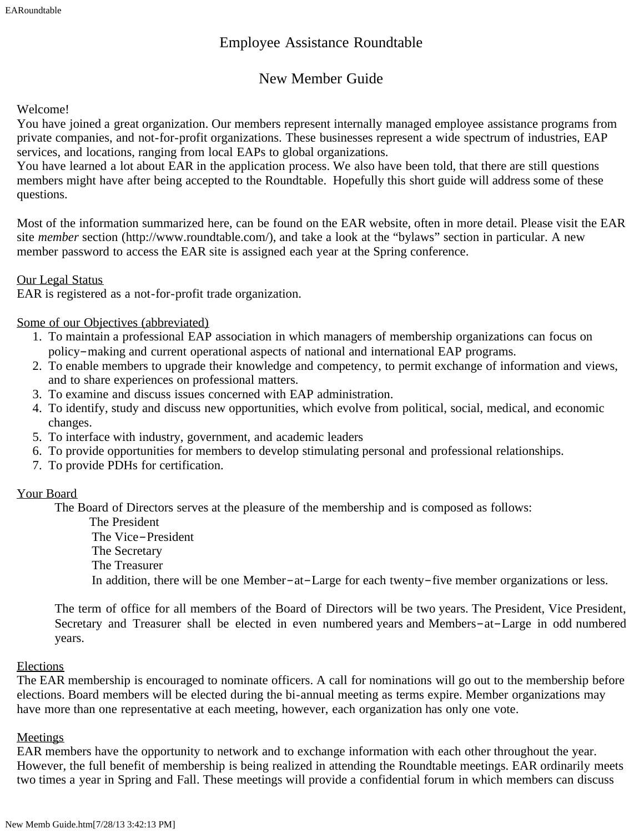# Employee Assistance Roundtable

# New Member Guide

## Welcome!

You have joined a great organization. Our members represent internally managed employee assistance programs from private companies, and not-for-profit organizations. These businesses represent a wide spectrum of industries, EAP services, and locations, ranging from local EAPs to global organizations.

You have learned a lot about EAR in the application process. We also have been told, that there are still questions members might have after being accepted to the Roundtable. Hopefully this short guide will address some of these questions.

Most of the information summarized here, can be found on the EAR website, often in more detail. Please visit the EAR site *member* section (http://www.roundtable.com/), and take a look at the "bylaws" section in particular. A new member password to access the EAR site is assigned each year at the Spring conference.

## Our Legal Status

EAR is registered as a not-for-profit trade organization.

## Some of our Objectives (abbreviated)

- 1. To maintain a professional EAP association in which managers of membership organizations can focus on policy–making and current operational aspects of national and international EAP programs.
- 2. To enable members to upgrade their knowledge and competency, to permit exchange of information and views, and to share experiences on professional matters.
- 3. To examine and discuss issues concerned with EAP administration.
- 4. To identify, study and discuss new opportunities, which evolve from political, social, medical, and economic changes.
- 5. To interface with industry, government, and academic leaders
- 6. To provide opportunities for members to develop stimulating personal and professional relationships.
- 7. To provide PDHs for certification.

# Your Board

The Board of Directors serves at the pleasure of the membership and is composed as follows:

 The President The Vice–President The Secretary

The Treasurer

In addition, there will be one Member–at–Large for each twenty–five member organizations or less.

The term of office for all members of the Board of Directors will be two years. The President, Vice President, Secretary and Treasurer shall be elected in even numbered years and Members–at–Large in odd numbered years.

#### Elections

The EAR membership is encouraged to nominate officers. A call for nominations will go out to the membership before elections. Board members will be elected during the bi-annual meeting as terms expire. Member organizations may have more than one representative at each meeting, however, each organization has only one vote.

# **Meetings**

EAR members have the opportunity to network and to exchange information with each other throughout the year. However, the full benefit of membership is being realized in attending the Roundtable meetings. EAR ordinarily meets two times a year in Spring and Fall. These meetings will provide a confidential forum in which members can discuss